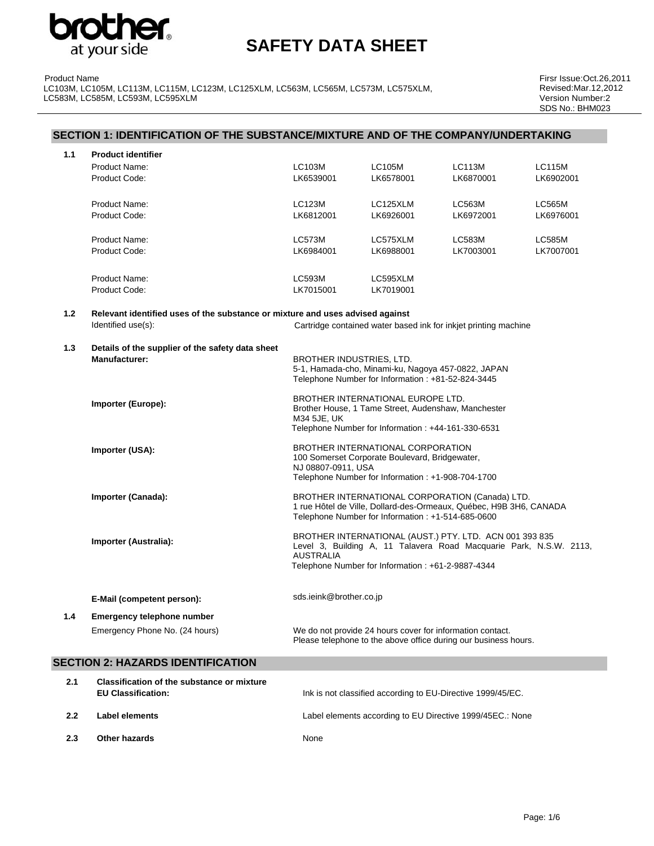

Product Name LC103M, LC105M, LC113M, LC115M, LC123M, LC125XLM, LC563M, LC565M, LC573M, LC575XLM, LC583M, LC585M, LC593M, LC595XLM

Firsr Issue:Oct.26,2011 Revised:Mar.12,2012 Version Number:2 SDS No.: BHM023

|     | SECTION 1: IDENTIFICATION OF THE SUBSTANCE/MIXTURE AND OF THE COMPANY/UNDERTAKING |                          |                                                                                                                                                |                                                                                                                               |               |
|-----|-----------------------------------------------------------------------------------|--------------------------|------------------------------------------------------------------------------------------------------------------------------------------------|-------------------------------------------------------------------------------------------------------------------------------|---------------|
| 1.1 | <b>Product identifier</b>                                                         |                          |                                                                                                                                                |                                                                                                                               |               |
|     | Product Name:                                                                     | <b>LC103M</b>            | <b>LC105M</b>                                                                                                                                  | <b>LC113M</b>                                                                                                                 | <b>LC115M</b> |
|     | Product Code:                                                                     | LK6539001                | LK6578001                                                                                                                                      | LK6870001                                                                                                                     | LK6902001     |
|     | Product Name:                                                                     | <b>LC123M</b>            | LC125XLM                                                                                                                                       | LC563M                                                                                                                        | <b>LC565M</b> |
|     | Product Code:                                                                     | LK6812001                | LK6926001                                                                                                                                      | LK6972001                                                                                                                     | LK6976001     |
|     | Product Name:                                                                     | <b>LC573M</b>            | LC575XLM                                                                                                                                       | LC583M                                                                                                                        | <b>LC585M</b> |
|     | Product Code:                                                                     | LK6984001                | LK6988001                                                                                                                                      | LK7003001                                                                                                                     | LK7007001     |
|     | Product Name:                                                                     | LC593M                   | LC595XLM                                                                                                                                       |                                                                                                                               |               |
|     | Product Code:                                                                     | LK7015001                | LK7019001                                                                                                                                      |                                                                                                                               |               |
| 1.2 | Relevant identified uses of the substance or mixture and uses advised against     |                          |                                                                                                                                                |                                                                                                                               |               |
|     | Identified use(s):                                                                |                          |                                                                                                                                                | Cartridge contained water based ink for inkjet printing machine                                                               |               |
| 1.3 | Details of the supplier of the safety data sheet                                  |                          |                                                                                                                                                |                                                                                                                               |               |
|     | Manufacturer:                                                                     | BROTHER INDUSTRIES, LTD. | 5-1, Hamada-cho, Minami-ku, Nagoya 457-0822, JAPAN<br>Telephone Number for Information : +81-52-824-3445                                       |                                                                                                                               |               |
|     | Importer (Europe):                                                                | M34 5JE, UK              | BROTHER INTERNATIONAL EUROPE LTD.<br>Brother House, 1 Tame Street, Audenshaw, Manchester<br>Telephone Number for Information: +44-161-330-6531 |                                                                                                                               |               |
|     | Importer (USA):                                                                   | NJ 08807-0911, USA       | BROTHER INTERNATIONAL CORPORATION<br>100 Somerset Corporate Boulevard, Bridgewater,                                                            |                                                                                                                               |               |
|     |                                                                                   |                          | Telephone Number for Information : +1-908-704-1700                                                                                             |                                                                                                                               |               |
|     | Importer (Canada):                                                                |                          | Telephone Number for Information : +1-514-685-0600                                                                                             | BROTHER INTERNATIONAL CORPORATION (Canada) LTD.<br>1 rue Hôtel de Ville, Dollard-des-Ormeaux, Québec, H9B 3H6, CANADA         |               |
|     | Importer (Australia):                                                             | <b>AUSTRALIA</b>         |                                                                                                                                                | BROTHER INTERNATIONAL (AUST.) PTY. LTD. ACN 001 393 835<br>Level 3, Building A, 11 Talavera Road Macquarie Park, N.S.W. 2113, |               |
|     |                                                                                   |                          | Telephone Number for Information : +61-2-9887-4344                                                                                             |                                                                                                                               |               |
|     | E-Mail (competent person):                                                        | sds.ieink@brother.co.jp  |                                                                                                                                                |                                                                                                                               |               |
| 1.4 | <b>Emergency telephone number</b>                                                 |                          |                                                                                                                                                |                                                                                                                               |               |
|     | Emergency Phone No. (24 hours)                                                    |                          | We do not provide 24 hours cover for information contact.                                                                                      | Please telephone to the above office during our business hours.                                                               |               |
|     | <b>SECTION 2: HAZARDS IDENTIFICATION</b>                                          |                          |                                                                                                                                                |                                                                                                                               |               |
| 2.1 | Classification of the substance or mixture<br><b>EU Classification:</b>           |                          |                                                                                                                                                | Ink is not classified according to EU-Directive 1999/45/EC.                                                                   |               |
| 2.2 | <b>Label elements</b>                                                             |                          |                                                                                                                                                | Label elements according to EU Directive 1999/45EC.: None                                                                     |               |

**2.3** Other hazards None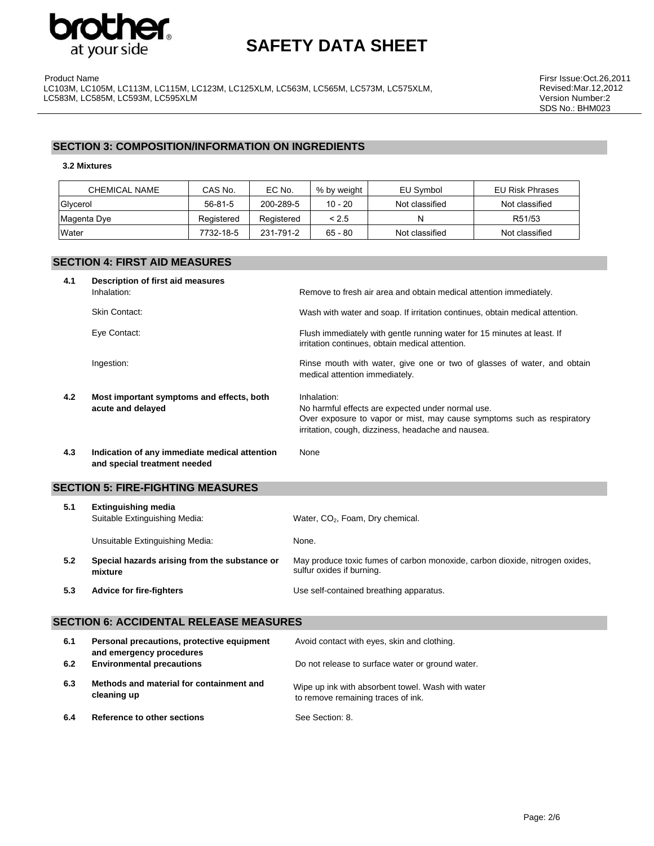

Product Name LC103M, LC105M, LC113M, LC115M, LC123M, LC125XLM, LC563M, LC565M, LC573M, LC575XLM, LC583M, LC585M, LC593M, LC595XLM

## **SECTION 3: COMPOSITION/INFORMATION ON INGREDIENTS**

#### **3.2 Mixtures**

| CHEMICAL NAME | CAS No.    | EC No.     | % by weight | EU Symbol      | <b>EU Risk Phrases</b> |
|---------------|------------|------------|-------------|----------------|------------------------|
| Glycerol      | 56-81-5    | 200-289-5  | $10 - 20$   | Not classified | Not classified         |
| Magenta Dye   | Registered | Registered | < 2.5       | N              | R51/53                 |
| Water         | 7732-18-5  | 231-791-2  | $65 - 80$   | Not classified | Not classified         |

## **SECTION 4: FIRST AID MEASURES**

| 4.1 | Description of first aid measures<br>Inhalation:                              | Remove to fresh air area and obtain medical attention immediately.                                                                                                                               |
|-----|-------------------------------------------------------------------------------|--------------------------------------------------------------------------------------------------------------------------------------------------------------------------------------------------|
|     | Skin Contact:                                                                 | Wash with water and soap. If irritation continues, obtain medical attention.                                                                                                                     |
|     | Eye Contact:                                                                  | Flush immediately with gentle running water for 15 minutes at least. If<br>irritation continues, obtain medical attention.                                                                       |
|     | Ingestion:                                                                    | Rinse mouth with water, give one or two of glasses of water, and obtain<br>medical attention immediately.                                                                                        |
| 4.2 | Most important symptoms and effects, both<br>acute and delayed                | Inhalation:<br>No harmful effects are expected under normal use.<br>Over exposure to vapor or mist, may cause symptoms such as respiratory<br>irritation, cough, dizziness, headache and nausea. |
| 4.3 | Indication of any immediate medical attention<br>and special treatment needed | None                                                                                                                                                                                             |

### **SECTION 5: FIRE-FIGHTING MEASURES**

| 5.1 | <b>Extinguishing media</b><br>Suitable Extinguishing Media: | Water, CO <sub>2</sub> , Foam, Dry chemical.                                                              |
|-----|-------------------------------------------------------------|-----------------------------------------------------------------------------------------------------------|
|     | Unsuitable Extinguishing Media:                             | None.                                                                                                     |
| 5.2 | Special hazards arising from the substance or<br>mixture    | May produce toxic fumes of carbon monoxide, carbon dioxide, nitrogen oxides,<br>sulfur oxides if burning. |
| 5.3 | <b>Advice for fire-fighters</b>                             | Use self-contained breathing apparatus.                                                                   |

### **SECTION 6: ACCIDENTAL RELEASE MEASURES**

| 6.1 | Personal precautions, protective equipment<br>and emergency procedures | Avoid contact with eyes, skin and clothing.                                             |
|-----|------------------------------------------------------------------------|-----------------------------------------------------------------------------------------|
| 6.2 | <b>Environmental precautions</b>                                       | Do not release to surface water or ground water.                                        |
| 6.3 | Methods and material for containment and<br>cleaning up                | Wipe up ink with absorbent towel. Wash with water<br>to remove remaining traces of ink. |
| 6.4 | Reference to other sections                                            | See Section: 8.                                                                         |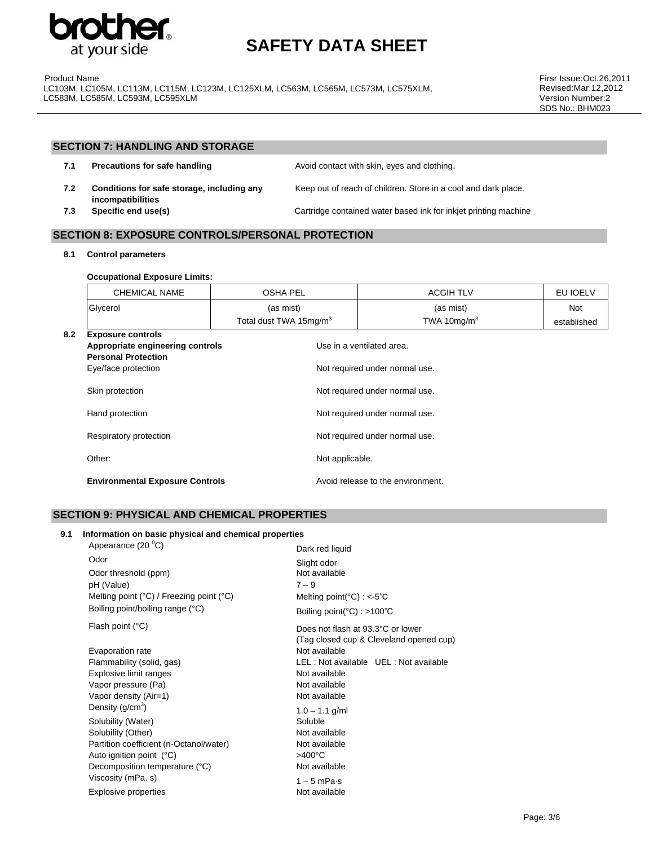

Product Name LC103M, LC105M, LC113M, LC115M, LC123M, LC125XLM, LC563M, LC565M, LC573M, LC575XLM, LC583M, LC585M, LC593M, LC595XLM

Firsr Issue:Oct.26,2011 Revised:Mar.12,2012 Version Number:2 SDS No.: BHM023

### **SECTION 7: HANDLING AND STORAGE**

| 7.1 | Precautions for safe handling                                   | Avoid contact with skin, eyes and clothing.                    |
|-----|-----------------------------------------------------------------|----------------------------------------------------------------|
| 7.2 | Conditions for safe storage, including any<br>incompatibilities | Keep out of reach of children. Store in a cool and dark place. |
|     |                                                                 |                                                                |

**7.3** Specific end use(s) **Cartridge contained water based ink for inkjet printing machine** 

### **SECTION 8: EXPOSURE CONTROLS/PERSONAL PROTECTION**

**8.1 Control parameters** 

#### **Occupational Exposure Limits:**

|     | CHEMICAL NAME            | <b>OSHA PEL</b>                    | <b>ACGIH TLV</b> | EU IOELV    |
|-----|--------------------------|------------------------------------|------------------|-------------|
|     | Glycerol                 | (as mist)                          | (as mist)        | <b>Not</b>  |
|     |                          | Total dust TWA 15mg/m <sup>3</sup> | TWA 10 $mq/m3$   | established |
| 8.2 | <b>Exposure controls</b> |                                    |                  |             |

| ∪.∠ | <b>LADUSULE CUILLUIS</b><br>Appropriate engineering controls<br><b>Personal Protection</b> | Use in a ventilated area.         |
|-----|--------------------------------------------------------------------------------------------|-----------------------------------|
|     | Eye/face protection                                                                        | Not required under normal use.    |
|     | Skin protection                                                                            | Not required under normal use.    |
|     | Hand protection                                                                            | Not required under normal use.    |
|     | Respiratory protection                                                                     | Not required under normal use.    |
|     | Other:                                                                                     | Not applicable.                   |
|     | <b>Environmental Exposure Controls</b>                                                     | Avoid release to the environment. |

### **SECTION 9: PHYSICAL AND CHEMICAL PROPERTIES**

#### **9.1 Information on basic physical and chemical properties**

| Appearance (20 °C)                                         | Dark red liquid                                  |
|------------------------------------------------------------|--------------------------------------------------|
| Odor                                                       | Slight odor                                      |
| Odor threshold (ppm)                                       | Not available                                    |
| pH (Value)                                                 | $7 - 9$                                          |
| Melting point $(^{\circ}C)$ / Freezing point $(^{\circ}C)$ | Melting point( $^{\circ}$ C) : <-5 $^{\circ}$ C  |
| Boiling point/boiling range (°C)                           | Boiling point( $^{\circ}$ C) : >100 $^{\circ}$ C |
| Flash point (°C)                                           | Does not flash at 93.3°C or lower                |
|                                                            | (Tag closed cup & Cleveland opened cup)          |
| Evaporation rate                                           | Not available                                    |
| Flammability (solid, gas)                                  | LEL: Not available UEL: Not available            |
| Explosive limit ranges                                     | Not available                                    |
| Vapor pressure (Pa)                                        | Not available                                    |
| Vapor density (Air=1)                                      | Not available                                    |
| Density $(g/cm3)$                                          | $1.0 - 1.1$ g/ml                                 |
| Solubility (Water)                                         | Soluble                                          |
| Solubility (Other)                                         | Not available                                    |
| Partition coefficient (n-Octanol/water)                    | Not available                                    |
| Auto ignition point (°C)                                   | $>400^{\circ}$ C                                 |
| Decomposition temperature (°C)                             | Not available                                    |
| Viscosity (mPa. s)                                         | $1 - 5$ mPa $\cdot$ s                            |
| <b>Explosive properties</b>                                | Not available                                    |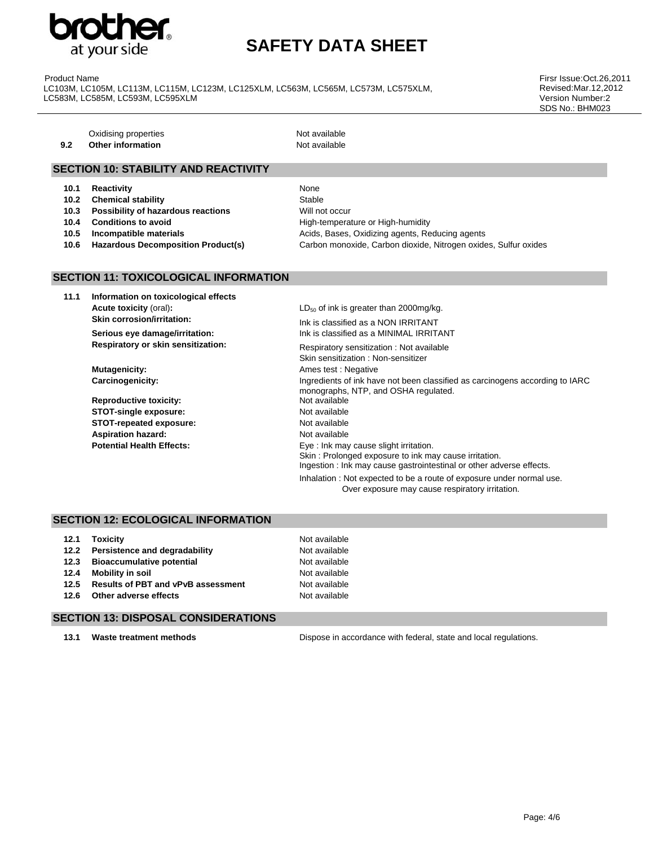

Product Name LC103M, LC105M, LC113M, LC115M, LC123M, LC125XLM, LC563M, LC565M, LC573M, LC575XLM, LC583M, LC585M, LC593M, LC595XLM

Firsr Issue:Oct.26,2011 Revised:Mar.12,2012 Version Number:2 SDS No.: BHM023

**9.2** Other information **Not available** 

Not available

### **SECTION 10: STABILITY AND REACTIVITY**

- **10.1 Reactivity** None
- **10.2 Chemical stability Stable** Stable
- **10.3 Possibility of hazardous reactions Will not occur**
- 
- 
- 

**10.4 Conditions to avoid** High-temperature or High-humidity **10.5 Incompatible materials 10.5 Incompatible materials Acids**, Bases, Oxidizing agents, Reducing agents **10.6 Hazardous Decomposition Product(s)** Carbon monoxide, Carbon dioxide, Nitrogen oxides, Sulfur oxides

## **SECTION 11: TOXICOLOGICAL INFORMATION**

**11.1 Information on toxicological effects Acute toxicity** (oral): **and increase than 2000mg/kg. LD<sub>50</sub> of ink is greater than 2000mg/kg. Skin corrosion/irritation:** Ink is classified as a NON IRRITANT

**Reproductive toxicity:** Not available **STOT-single exposure:** Not available **STOT-repeated exposure:** Not available **Aspiration hazard: Not available Not available** 

**Serious eye damage/irritation:** Ink is classified as a MINIMAL IRRITANT **Respiratory or skin sensitization: Respiratory sensitization : Not available** Skin sensitization : Non-sensitizer **Mutagenicity: Ames test : Negative Ames test : Negative Carcinogenicity:** Ingredients of ink have not been classified as carcinogens according to IARC monographs, NTP, and OSHA regulated. **Potential Health Effects:** Eye : Ink may cause slight irritation. Skin : Prolonged exposure to ink may cause irritation. Ingestion : Ink may cause gastrointestinal or other adverse effects. Inhalation : Not expected to be a route of exposure under normal use. Over exposure may cause respiratory irritation.

#### **SECTION 12: ECOLOGICAL INFORMATION**

| 12.1 | Toxicitv                                  | Not available |
|------|-------------------------------------------|---------------|
| 12.2 | Persistence and degradability             | Not available |
| 12.3 | <b>Bioaccumulative potential</b>          | Not available |
| 12.4 | <b>Mobility in soil</b>                   | Not available |
| 12.5 | <b>Results of PBT and vPvB assessment</b> | Not available |
| 12.6 | Other adverse effects                     | Not available |

#### **SECTION 13: DISPOSAL CONSIDERATIONS**

**13.1 Waste treatment methods** Dispose in accordance with federal, state and local regulations.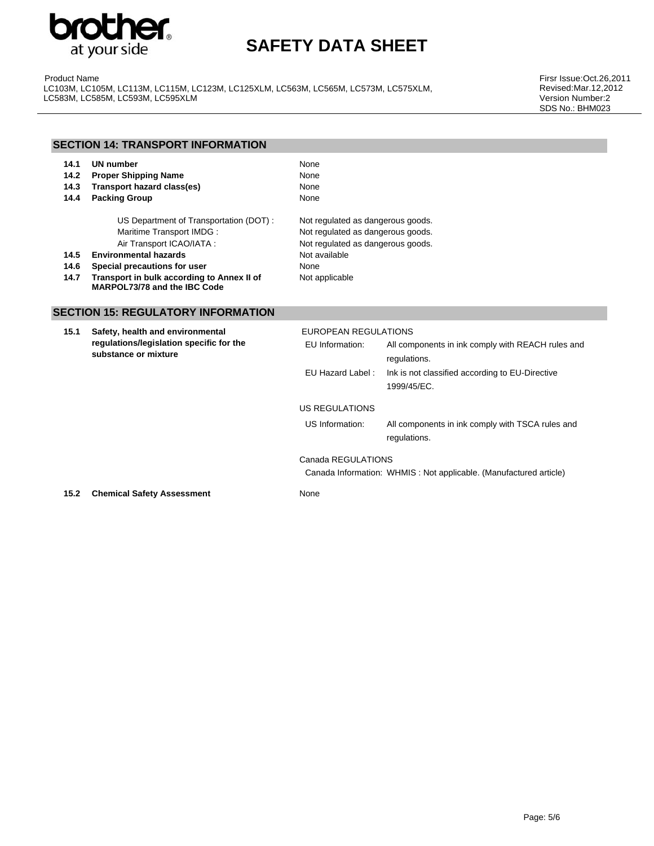

Product Name LC103M, LC105M, LC113M, LC115M, LC123M, LC125XLM, LC563M, LC565M, LC573M, LC575XLM, LC583M, LC585M, LC593M, LC595XLM

Firsr Issue:Oct.26,2011 Revised:Mar.12,2012 Version Number:2 SDS No.: BHM023

| <b>SECTION 14: TRANSPORT INFORMATION</b> |                                                                            |                                   |  |  |
|------------------------------------------|----------------------------------------------------------------------------|-----------------------------------|--|--|
| 14.1                                     | UN number                                                                  | None                              |  |  |
| 14.2                                     | <b>Proper Shipping Name</b>                                                | None                              |  |  |
| 14.3                                     | Transport hazard class(es)                                                 | None                              |  |  |
| 14.4                                     | <b>Packing Group</b>                                                       | None                              |  |  |
|                                          | US Department of Transportation (DOT):                                     | Not regulated as dangerous goods. |  |  |
|                                          | Maritime Transport IMDG:                                                   | Not regulated as dangerous goods. |  |  |
|                                          | Air Transport ICAO/IATA:                                                   | Not regulated as dangerous goods. |  |  |
| 14.5                                     | <b>Environmental hazards</b>                                               | Not available                     |  |  |
| 14.6                                     | Special precautions for user                                               | None                              |  |  |
| 14.7                                     | Transport in bulk according to Annex II of<br>MARPOL73/78 and the IBC Code | Not applicable                    |  |  |
|                                          | <b>SECTION 15: REGULATORY INFORMATION</b>                                  |                                   |  |  |
| 15.1                                     | Safety, health and environmental                                           | EUROPEAN REGULATIONS              |  |  |

| 15.1 | Safety, nealth and environmental<br>regulations/legislation specific for the<br>substance or mixture | EURUPEAN REGULATIONS |                                                                   |
|------|------------------------------------------------------------------------------------------------------|----------------------|-------------------------------------------------------------------|
|      |                                                                                                      | EU Information:      | All components in ink comply with REACH rules and                 |
|      |                                                                                                      |                      | regulations.                                                      |
|      |                                                                                                      | EU Hazard Label:     | Ink is not classified according to EU-Directive                   |
|      |                                                                                                      |                      | 1999/45/EC.                                                       |
|      |                                                                                                      | US REGULATIONS       |                                                                   |
|      |                                                                                                      | US Information:      | All components in ink comply with TSCA rules and                  |
|      |                                                                                                      |                      | regulations.                                                      |
|      |                                                                                                      | Canada REGULATIONS   |                                                                   |
|      |                                                                                                      |                      | Canada Information: WHMIS: Not applicable. (Manufactured article) |
| 15.2 | <b>Chemical Safety Assessment</b>                                                                    | None                 |                                                                   |